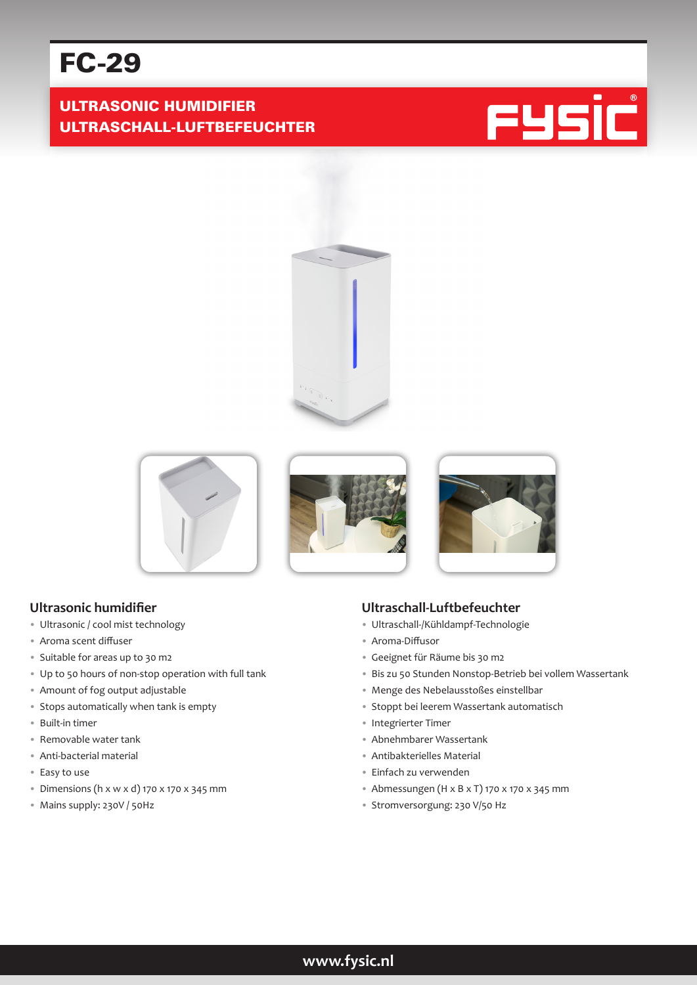# FC-29

# ULTRASONIC HUMIDIFIER ULTRASCHALL-LUFTBEFEUCHTER











#### **Ultrasonic humidifier**

- Ultrasonic / cool mist technology
- Aroma scent diffuser
- Suitable for areas up to 30 m2
- Up to 50 hours of non-stop operation with full tank
- Amount of fog output adjustable
- Stops automatically when tank is empty
- Built-in timer
- Removable water tank
- Anti-bacterial material
- Easy to use
- Dimensions (h x w x d) 170 x 170 x 345 mm
- Mains supply: 230V / 50Hz

#### **Ultraschall-Luftbefeuchter**

- Ultraschall-/Kühldampf-Technologie
- Aroma-Diffusor
- Geeignet für Räume bis 30 m2
- Bis zu 50 Stunden Nonstop-Betrieb bei vollem Wassertank
- Menge des Nebelausstoßes einstellbar
- Stoppt bei leerem Wassertank automatisch
- Integrierter Timer
- Abnehmbarer Wassertank
- Antibakterielles Material
- Einfach zu verwenden
- Abmessungen (H x B x T) 170 x 170 x 345 mm
- Stromversorgung: 230 V/50 Hz